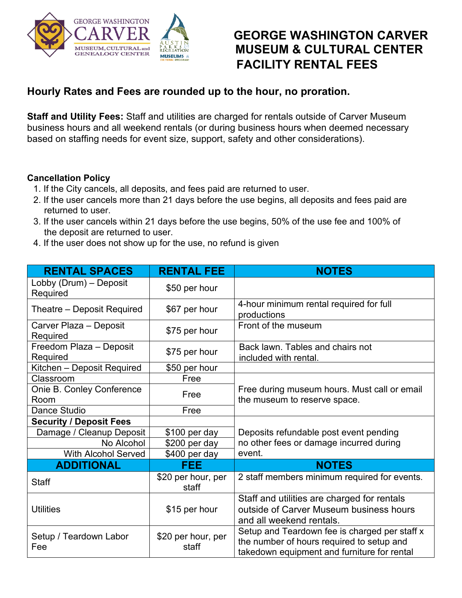

## **GEORGE WASHINGTON CARVER MUSEUM & CULTURAL CENTER FACILITY RENTAL FEES**

## **Hourly Rates and Fees are rounded up to the hour, no proration.**

**Staff and Utility Fees:** Staff and utilities are charged for rentals outside of Carver Museum business hours and all weekend rentals (or during business hours when deemed necessary based on staffing needs for event size, support, safety and other considerations).

## **Cancellation Policy**

- 1. If the City cancels, all deposits, and fees paid are returned to user.
- 2. If the user cancels more than 21 days before the use begins, all deposits and fees paid are returned to user.
- 3. If the user cancels within 21 days before the use begins, 50% of the use fee and 100% of the deposit are returned to user.
- 4. If the user does not show up for the use, no refund is given

| <b>RENTAL SPACES</b>                | <b>RENTAL FEE</b>           | <b>NOTES</b>                                                                                                                              |
|-------------------------------------|-----------------------------|-------------------------------------------------------------------------------------------------------------------------------------------|
| Lobby (Drum) - Deposit<br>Required  | \$50 per hour               |                                                                                                                                           |
| Theatre – Deposit Required          | \$67 per hour               | 4-hour minimum rental required for full<br>productions                                                                                    |
| Carver Plaza – Deposit<br>Required  | \$75 per hour               | Front of the museum                                                                                                                       |
| Freedom Plaza - Deposit<br>Required | \$75 per hour               | Back lawn. Tables and chairs not<br>included with rental.                                                                                 |
| Kitchen - Deposit Required          | \$50 per hour               |                                                                                                                                           |
| Classroom                           | Free                        |                                                                                                                                           |
| Onie B. Conley Conference<br>Room   | Free                        | Free during museum hours. Must call or email<br>the museum to reserve space.                                                              |
| Dance Studio                        | Free                        |                                                                                                                                           |
| <b>Security / Deposit Fees</b>      |                             |                                                                                                                                           |
| Damage / Cleanup Deposit            | \$100 per day               | Deposits refundable post event pending                                                                                                    |
| No Alcohol                          | \$200 per day               | no other fees or damage incurred during                                                                                                   |
| <b>With Alcohol Served</b>          | \$400 per day               | event.                                                                                                                                    |
| <b>ADDITIONAL</b>                   | <b>FEE</b>                  | <b>NOTES</b>                                                                                                                              |
| <b>Staff</b>                        | \$20 per hour, per<br>staff | 2 staff members minimum required for events.                                                                                              |
| <b>Utilities</b>                    | \$15 per hour               | Staff and utilities are charged for rentals<br>outside of Carver Museum business hours<br>and all weekend rentals.                        |
| Setup / Teardown Labor<br>Fee       | \$20 per hour, per<br>staff | Setup and Teardown fee is charged per staff x<br>the number of hours required to setup and<br>takedown equipment and furniture for rental |